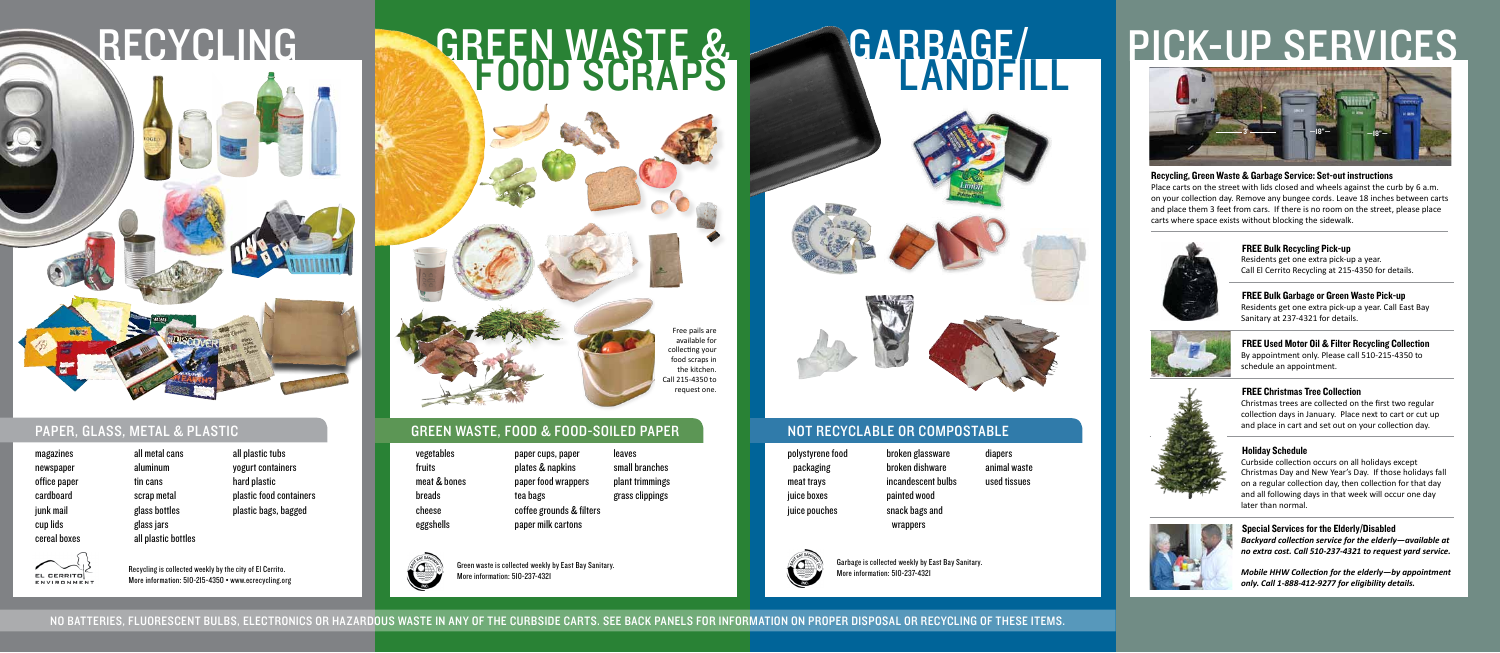



magazines newspaper office paper cardboard junk mail cup lids cereal boxes

all metal cans aluminum tin cans scrap metal glass bottles glass jars all plastic bottles

all plastic tubs yogurt containers hard plastic

plastic food containers plastic bags, bagged

#### paper, glass, metal & plastic green waste, food & food-soiled paper not recyClable or compostable

## pick-up services

FREE Bulk Recycling Pick-up Residents get one extra pick-up a year. Call El Cerrito Recycling at 215-4350 for details.

#### FREE Bulk Garbage or Green Waste Pick-up Residents get one extra pick-up a year. Call East Bay

Sanitary at 237-4321 for details.



#### FREE Used Motor Oil & Filter Recycling Collection By appointment only. Please call 510-215-4350 to schedule an appointment.



#### FREE Christmas Tree Collection

Christmas trees are collected on the first two regular collection days in January. Place next to cart or cut up and place in cart and set out on your collection day.

#### Holiday Schedule

Curbside collection occurs on all holidays except Christmas Day and New Year's Day. If those holidays fall on a regular collection day, then collection for that day and all following days in that week will occur one day later than normal.



Special Services for the Elderly/Disabled *Backyard collection service for the elderly—available at no extra cost. Call 510-237-4321 to request yard service.*

*Mobile HHW Collection for the elderly—by appointment only. Call 1-888-412-9277 for eligibility details.*

Recycling is collected weekly by the city of El Cerrito. More information: 510-215-4350 • www.ecrecycling.org



# **GARRAGE/**









Green waste is collected weekly by East Bay Sanitary. More information: 510-237-4321

Garbage is collected weekly by East Bay Sanitary. More information: 510-237-4321

#### Recycling, Green Waste & Garbage Service: Set-out instructions

Place carts on the street with lids closed and wheels against the curb by 6 a.m. on your collection day. Remove any bungee cords. Leave 18 inches between carts and place them 3 feet from cars. If there is no room on the street, please place carts where space exists without blocking the sidewalk.



Free pails are available for collecting your food scraps in the kitchen. Call 215-4350 to request one.

- vegetables fruits meat & bones breads cheese eggshells
- paper cups, paper plates & napkins paper food wrappers coffee grounds & filters paper milk cartons leaves small branches plant trimmings grass clippings



tea bags

packaging meat trays juice boxes juice pouches



EL CERRITO **ENVIRONMEN** 

- polystyrene food
- broken glassware broken dishware incandescent bulbs painted wood snack bags and
- diapers animal waste used tissues



wrappers